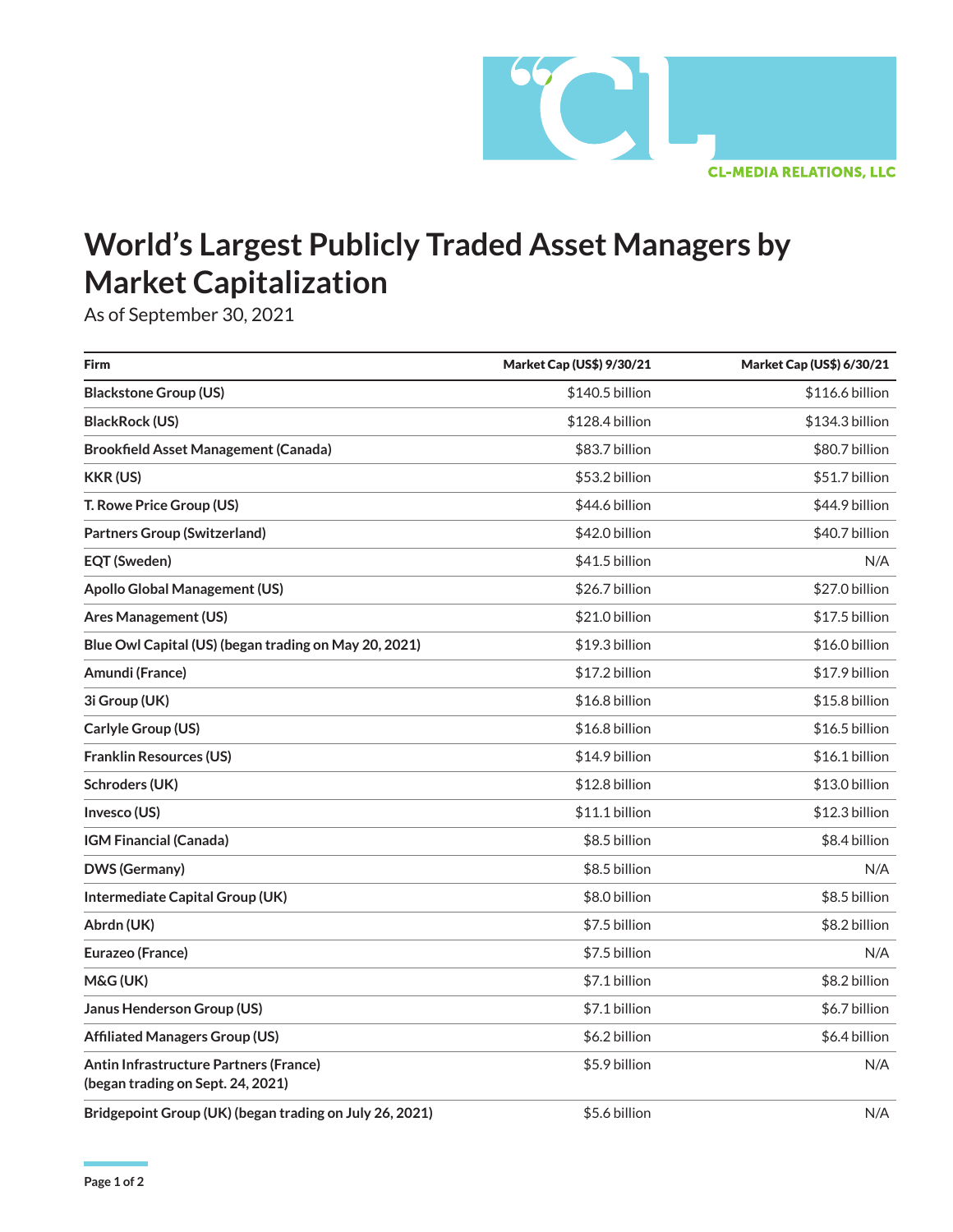

## **World's Largest Publicly Traded Asset Managers by Market Capitalization**

As of September 30, 2021

| Firm                                                                        | <b>Market Cap (US\$) 9/30/21</b> | <b>Market Cap (US\$) 6/30/21</b> |
|-----------------------------------------------------------------------------|----------------------------------|----------------------------------|
| <b>Blackstone Group (US)</b>                                                | \$140.5 billion                  | \$116.6 billion                  |
| <b>BlackRock (US)</b>                                                       | \$128.4 billion                  | \$134.3 billion                  |
| <b>Brookfield Asset Management (Canada)</b>                                 | \$83.7 billion                   | \$80.7 billion                   |
| <b>KKR (US)</b>                                                             | \$53.2 billion                   | \$51.7 billion                   |
| T. Rowe Price Group (US)                                                    | \$44.6 billion                   | \$44.9 billion                   |
| <b>Partners Group (Switzerland)</b>                                         | \$42.0 billion                   | \$40.7 billion                   |
| <b>EQT (Sweden)</b>                                                         | \$41.5 billion                   | N/A                              |
| <b>Apollo Global Management (US)</b>                                        | \$26.7 billion                   | \$27.0 billion                   |
| <b>Ares Management (US)</b>                                                 | \$21.0 billion                   | \$17.5 billion                   |
| Blue Owl Capital (US) (began trading on May 20, 2021)                       | \$19.3 billion                   | \$16.0 billion                   |
| Amundi (France)                                                             | \$17.2 billion                   | \$17.9 billion                   |
| 3i Group (UK)                                                               | \$16.8 billion                   | \$15.8 billion                   |
| Carlyle Group (US)                                                          | \$16.8 billion                   | \$16.5 billion                   |
| <b>Franklin Resources (US)</b>                                              | \$14.9 billion                   | \$16.1 billion                   |
| Schroders (UK)                                                              | \$12.8 billion                   | \$13.0 billion                   |
| Invesco (US)                                                                | \$11.1 billion                   | \$12.3 billion                   |
| <b>IGM Financial (Canada)</b>                                               | \$8.5 billion                    | \$8.4 billion                    |
| DWS (Germany)                                                               | \$8.5 billion                    | N/A                              |
| Intermediate Capital Group (UK)                                             | \$8.0 billion                    | \$8.5 billion                    |
| Abrdn (UK)                                                                  | \$7.5 billion                    | \$8.2 billion                    |
| Eurazeo (France)                                                            | \$7.5 billion                    | N/A                              |
| M&G (UK)                                                                    | \$7.1 billion                    | \$8.2 billion                    |
| Janus Henderson Group (US)                                                  | \$7.1 billion                    | \$6.7 billion                    |
| <b>Affiliated Managers Group (US)</b>                                       | \$6.2 billion                    | \$6.4 billion                    |
| Antin Infrastructure Partners (France)<br>(began trading on Sept. 24, 2021) | \$5.9 billion                    | N/A                              |
| Bridgepoint Group (UK) (began trading on July 26, 2021)                     | \$5.6 billion                    | N/A                              |